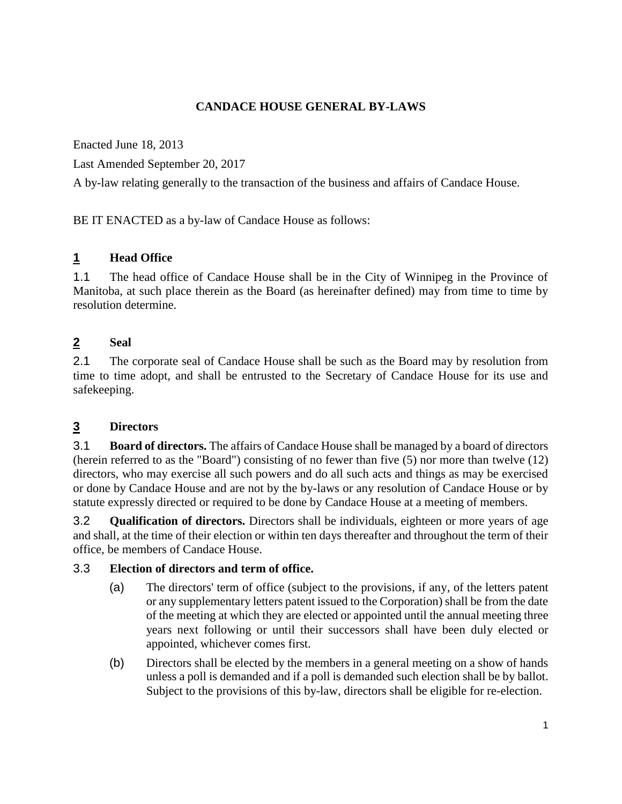## **CANDACE HOUSE GENERAL BY-LAWS**

Enacted June 18, 2013

Last Amended September 20, 2017

A by-law relating generally to the transaction of the business and affairs of Candace House.

BE IT ENACTED as a by-law of Candace House as follows:

#### **1 Head Office**

1.1 The head office of Candace House shall be in the City of Winnipeg in the Province of Manitoba, at such place therein as the Board (as hereinafter defined) may from time to time by resolution determine.

## **2 Seal**

2.1 The corporate seal of Candace House shall be such as the Board may by resolution from time to time adopt, and shall be entrusted to the Secretary of Candace House for its use and safekeeping.

#### **3 Directors**

3.1 **Board of directors.** The affairs of Candace House shall be managed by a board of directors (herein referred to as the "Board") consisting of no fewer than five (5) nor more than twelve (12) directors, who may exercise all such powers and do all such acts and things as may be exercised or done by Candace House and are not by the by-laws or any resolution of Candace House or by statute expressly directed or required to be done by Candace House at a meeting of members.

3.2 **Qualification of directors.** Directors shall be individuals, eighteen or more years of age and shall, at the time of their election or within ten days thereafter and throughout the term of their office, be members of Candace House.

#### 3.3 **Election of directors and term of office.**

- (a) The directors' term of office (subject to the provisions, if any, of the letters patent or any supplementary letters patent issued to the Corporation) shall be from the date of the meeting at which they are elected or appointed until the annual meeting three years next following or until their successors shall have been duly elected or appointed, whichever comes first.
- (b) Directors shall be elected by the members in a general meeting on a show of hands unless a poll is demanded and if a poll is demanded such election shall be by ballot. Subject to the provisions of this by-law, directors shall be eligible for re-election.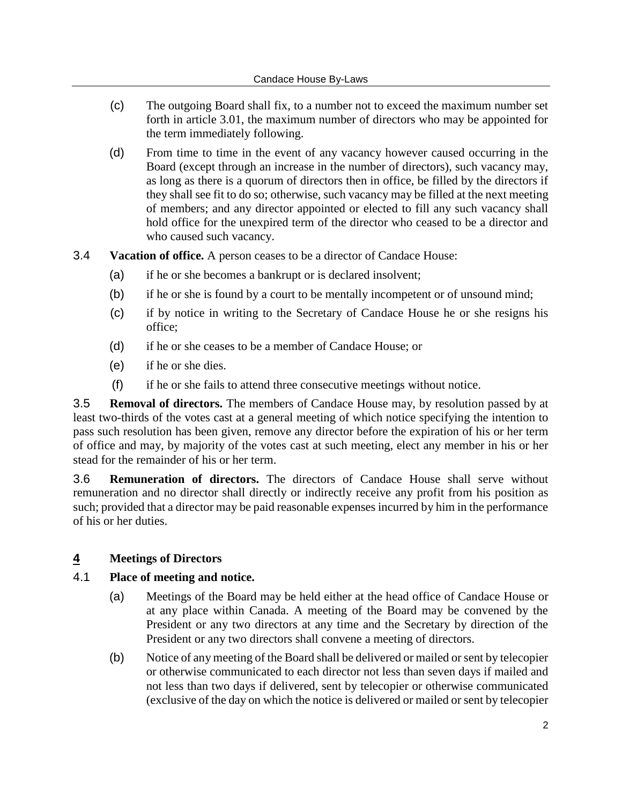- (c) The outgoing Board shall fix, to a number not to exceed the maximum number set forth in article 3.01, the maximum number of directors who may be appointed for the term immediately following.
- (d) From time to time in the event of any vacancy however caused occurring in the Board (except through an increase in the number of directors), such vacancy may, as long as there is a quorum of directors then in office, be filled by the directors if they shall see fit to do so; otherwise, such vacancy may be filled at the next meeting of members; and any director appointed or elected to fill any such vacancy shall hold office for the unexpired term of the director who ceased to be a director and who caused such vacancy.
- 3.4 **Vacation of office.** A person ceases to be a director of Candace House:
	- (a) if he or she becomes a bankrupt or is declared insolvent;
	- (b) if he or she is found by a court to be mentally incompetent or of unsound mind;
	- (c) if by notice in writing to the Secretary of Candace House he or she resigns his office;
	- (d) if he or she ceases to be a member of Candace House; or
	- (e) if he or she dies.
	- (f) if he or she fails to attend three consecutive meetings without notice.

3.5 **Removal of directors.** The members of Candace House may, by resolution passed by at least two-thirds of the votes cast at a general meeting of which notice specifying the intention to pass such resolution has been given, remove any director before the expiration of his or her term of office and may, by majority of the votes cast at such meeting, elect any member in his or her stead for the remainder of his or her term.

3.6 **Remuneration of directors.** The directors of Candace House shall serve without remuneration and no director shall directly or indirectly receive any profit from his position as such; provided that a director may be paid reasonable expenses incurred by him in the performance of his or her duties.

#### **4 Meetings of Directors**

#### 4.1 **Place of meeting and notice.**

- (a) Meetings of the Board may be held either at the head office of Candace House or at any place within Canada. A meeting of the Board may be convened by the President or any two directors at any time and the Secretary by direction of the President or any two directors shall convene a meeting of directors.
- (b) Notice of any meeting of the Board shall be delivered or mailed or sent by telecopier or otherwise communicated to each director not less than seven days if mailed and not less than two days if delivered, sent by telecopier or otherwise communicated (exclusive of the day on which the notice is delivered or mailed or sent by telecopier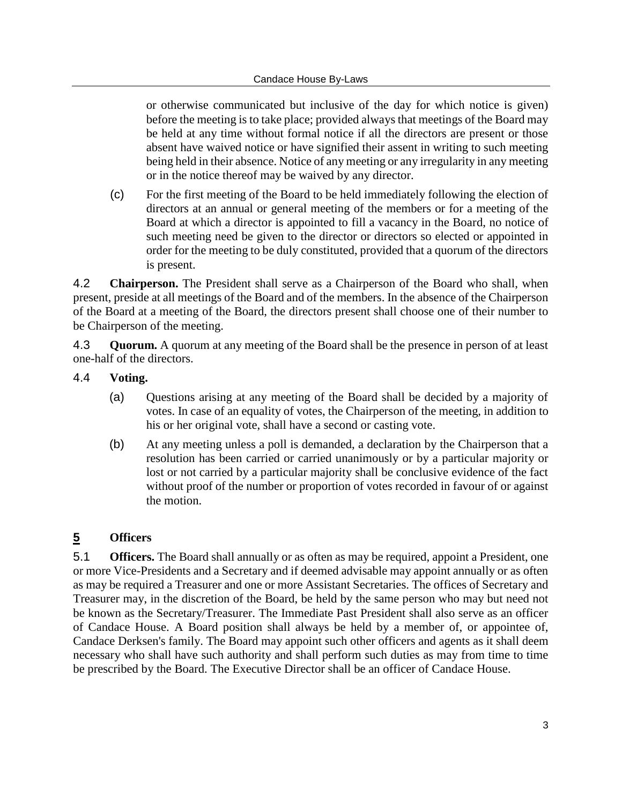or otherwise communicated but inclusive of the day for which notice is given) before the meeting is to take place; provided always that meetings of the Board may be held at any time without formal notice if all the directors are present or those absent have waived notice or have signified their assent in writing to such meeting being held in their absence. Notice of any meeting or any irregularity in any meeting or in the notice thereof may be waived by any director.

(c) For the first meeting of the Board to be held immediately following the election of directors at an annual or general meeting of the members or for a meeting of the Board at which a director is appointed to fill a vacancy in the Board, no notice of such meeting need be given to the director or directors so elected or appointed in order for the meeting to be duly constituted, provided that a quorum of the directors is present.

4.2 **Chairperson.** The President shall serve as a Chairperson of the Board who shall, when present, preside at all meetings of the Board and of the members. In the absence of the Chairperson of the Board at a meeting of the Board, the directors present shall choose one of their number to be Chairperson of the meeting.

4.3 **Quorum.** A quorum at any meeting of the Board shall be the presence in person of at least one-half of the directors.

#### 4.4 **Voting.**

- (a) Questions arising at any meeting of the Board shall be decided by a majority of votes. In case of an equality of votes, the Chairperson of the meeting, in addition to his or her original vote, shall have a second or casting vote.
- (b) At any meeting unless a poll is demanded, a declaration by the Chairperson that a resolution has been carried or carried unanimously or by a particular majority or lost or not carried by a particular majority shall be conclusive evidence of the fact without proof of the number or proportion of votes recorded in favour of or against the motion.

#### **5 Officers**

5.1 **Officers.** The Board shall annually or as often as may be required, appoint a President, one or more Vice-Presidents and a Secretary and if deemed advisable may appoint annually or as often as may be required a Treasurer and one or more Assistant Secretaries. The offices of Secretary and Treasurer may, in the discretion of the Board, be held by the same person who may but need not be known as the Secretary/Treasurer. The Immediate Past President shall also serve as an officer of Candace House. A Board position shall always be held by a member of, or appointee of, Candace Derksen's family. The Board may appoint such other officers and agents as it shall deem necessary who shall have such authority and shall perform such duties as may from time to time be prescribed by the Board. The Executive Director shall be an officer of Candace House.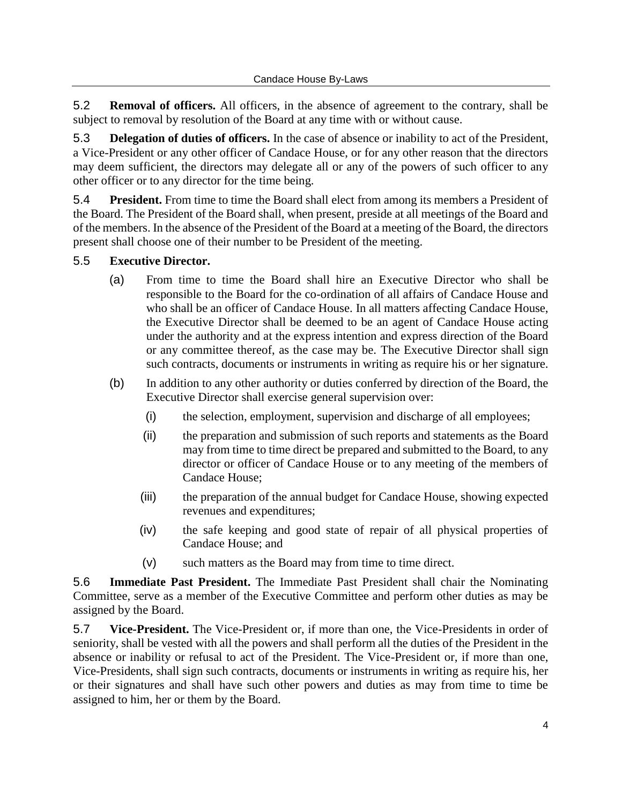5.2 **Removal of officers.** All officers, in the absence of agreement to the contrary, shall be subject to removal by resolution of the Board at any time with or without cause.

5.3 **Delegation of duties of officers.** In the case of absence or inability to act of the President, a Vice-President or any other officer of Candace House, or for any other reason that the directors may deem sufficient, the directors may delegate all or any of the powers of such officer to any other officer or to any director for the time being.

5.4 **President.** From time to time the Board shall elect from among its members a President of the Board. The President of the Board shall, when present, preside at all meetings of the Board and of the members. In the absence of the President of the Board at a meeting of the Board, the directors present shall choose one of their number to be President of the meeting.

## 5.5 **Executive Director.**

- (a) From time to time the Board shall hire an Executive Director who shall be responsible to the Board for the co-ordination of all affairs of Candace House and who shall be an officer of Candace House. In all matters affecting Candace House, the Executive Director shall be deemed to be an agent of Candace House acting under the authority and at the express intention and express direction of the Board or any committee thereof, as the case may be. The Executive Director shall sign such contracts, documents or instruments in writing as require his or her signature.
- (b) In addition to any other authority or duties conferred by direction of the Board, the Executive Director shall exercise general supervision over:
	- (i) the selection, employment, supervision and discharge of all employees;
	- (ii) the preparation and submission of such reports and statements as the Board may from time to time direct be prepared and submitted to the Board, to any director or officer of Candace House or to any meeting of the members of Candace House;
	- (iii) the preparation of the annual budget for Candace House, showing expected revenues and expenditures;
	- (iv) the safe keeping and good state of repair of all physical properties of Candace House; and
	- (v) such matters as the Board may from time to time direct.

5.6 **Immediate Past President.** The Immediate Past President shall chair the Nominating Committee, serve as a member of the Executive Committee and perform other duties as may be assigned by the Board.

5.7 **Vice-President.** The Vice-President or, if more than one, the Vice-Presidents in order of seniority, shall be vested with all the powers and shall perform all the duties of the President in the absence or inability or refusal to act of the President. The Vice-President or, if more than one, Vice-Presidents, shall sign such contracts, documents or instruments in writing as require his, her or their signatures and shall have such other powers and duties as may from time to time be assigned to him, her or them by the Board.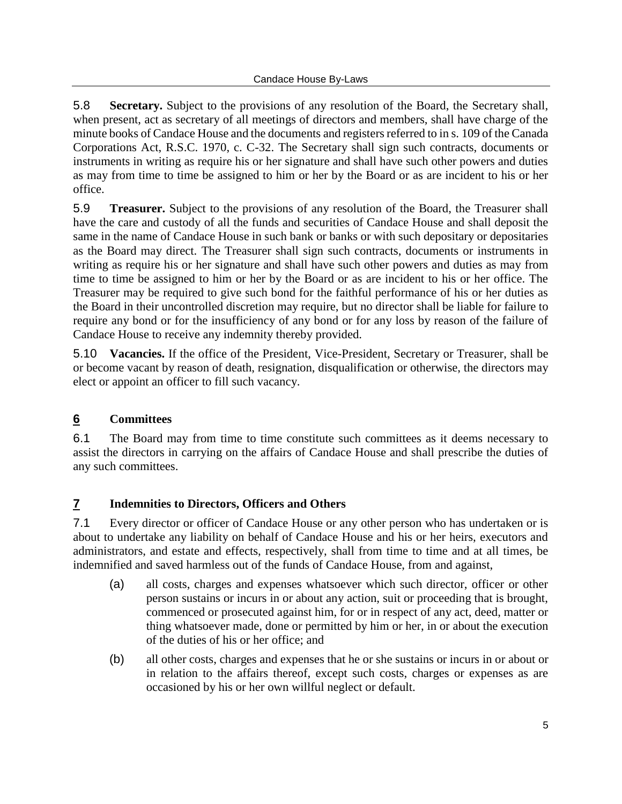5.8 **Secretary.** Subject to the provisions of any resolution of the Board, the Secretary shall, when present, act as secretary of all meetings of directors and members, shall have charge of the minute books of Candace House and the documents and registers referred to in s. 109 of the Canada Corporations Act, R.S.C. 1970, c. C-32. The Secretary shall sign such contracts, documents or instruments in writing as require his or her signature and shall have such other powers and duties as may from time to time be assigned to him or her by the Board or as are incident to his or her office.

5.9 **Treasurer.** Subject to the provisions of any resolution of the Board, the Treasurer shall have the care and custody of all the funds and securities of Candace House and shall deposit the same in the name of Candace House in such bank or banks or with such depositary or depositaries as the Board may direct. The Treasurer shall sign such contracts, documents or instruments in writing as require his or her signature and shall have such other powers and duties as may from time to time be assigned to him or her by the Board or as are incident to his or her office. The Treasurer may be required to give such bond for the faithful performance of his or her duties as the Board in their uncontrolled discretion may require, but no director shall be liable for failure to require any bond or for the insufficiency of any bond or for any loss by reason of the failure of Candace House to receive any indemnity thereby provided.

5.10 **Vacancies.** If the office of the President, Vice-President, Secretary or Treasurer, shall be or become vacant by reason of death, resignation, disqualification or otherwise, the directors may elect or appoint an officer to fill such vacancy.

# **6 Committees**

6.1 The Board may from time to time constitute such committees as it deems necessary to assist the directors in carrying on the affairs of Candace House and shall prescribe the duties of any such committees.

# **7 Indemnities to Directors, Officers and Others**

7.1 Every director or officer of Candace House or any other person who has undertaken or is about to undertake any liability on behalf of Candace House and his or her heirs, executors and administrators, and estate and effects, respectively, shall from time to time and at all times, be indemnified and saved harmless out of the funds of Candace House, from and against,

- (a) all costs, charges and expenses whatsoever which such director, officer or other person sustains or incurs in or about any action, suit or proceeding that is brought, commenced or prosecuted against him, for or in respect of any act, deed, matter or thing whatsoever made, done or permitted by him or her, in or about the execution of the duties of his or her office; and
- (b) all other costs, charges and expenses that he or she sustains or incurs in or about or in relation to the affairs thereof, except such costs, charges or expenses as are occasioned by his or her own willful neglect or default.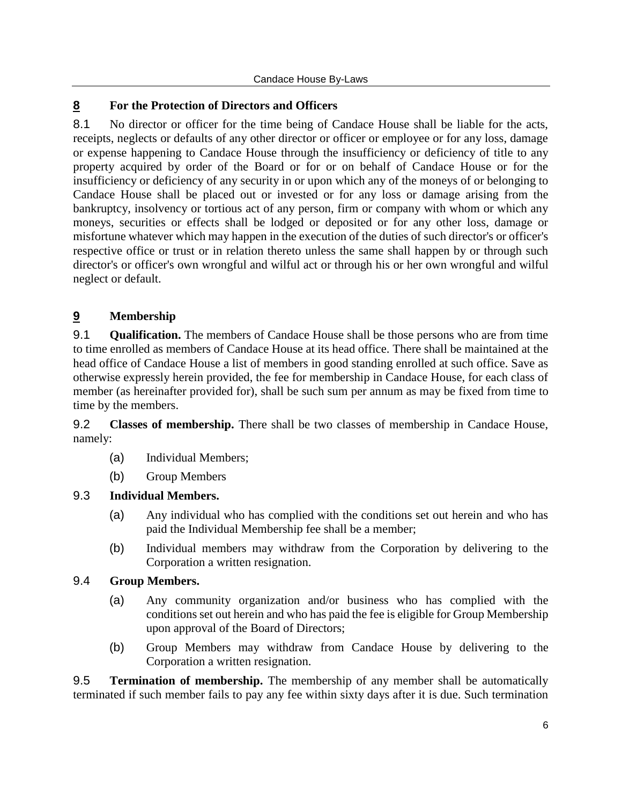## **8 For the Protection of Directors and Officers**

8.1 No director or officer for the time being of Candace House shall be liable for the acts, receipts, neglects or defaults of any other director or officer or employee or for any loss, damage or expense happening to Candace House through the insufficiency or deficiency of title to any property acquired by order of the Board or for or on behalf of Candace House or for the insufficiency or deficiency of any security in or upon which any of the moneys of or belonging to Candace House shall be placed out or invested or for any loss or damage arising from the bankruptcy, insolvency or tortious act of any person, firm or company with whom or which any moneys, securities or effects shall be lodged or deposited or for any other loss, damage or misfortune whatever which may happen in the execution of the duties of such director's or officer's respective office or trust or in relation thereto unless the same shall happen by or through such director's or officer's own wrongful and wilful act or through his or her own wrongful and wilful neglect or default.

# **9 Membership**

9.1 **Qualification.** The members of Candace House shall be those persons who are from time to time enrolled as members of Candace House at its head office. There shall be maintained at the head office of Candace House a list of members in good standing enrolled at such office. Save as otherwise expressly herein provided, the fee for membership in Candace House, for each class of member (as hereinafter provided for), shall be such sum per annum as may be fixed from time to time by the members.

9.2 **Classes of membership.** There shall be two classes of membership in Candace House, namely:

- (a) Individual Members;
- (b) Group Members

#### 9.3 **Individual Members.**

- (a) Any individual who has complied with the conditions set out herein and who has paid the Individual Membership fee shall be a member;
- (b) Individual members may withdraw from the Corporation by delivering to the Corporation a written resignation.

#### 9.4 **Group Members.**

- (a) Any community organization and/or business who has complied with the conditions set out herein and who has paid the fee is eligible for Group Membership upon approval of the Board of Directors;
- (b) Group Members may withdraw from Candace House by delivering to the Corporation a written resignation.

9.5 **Termination of membership.** The membership of any member shall be automatically terminated if such member fails to pay any fee within sixty days after it is due. Such termination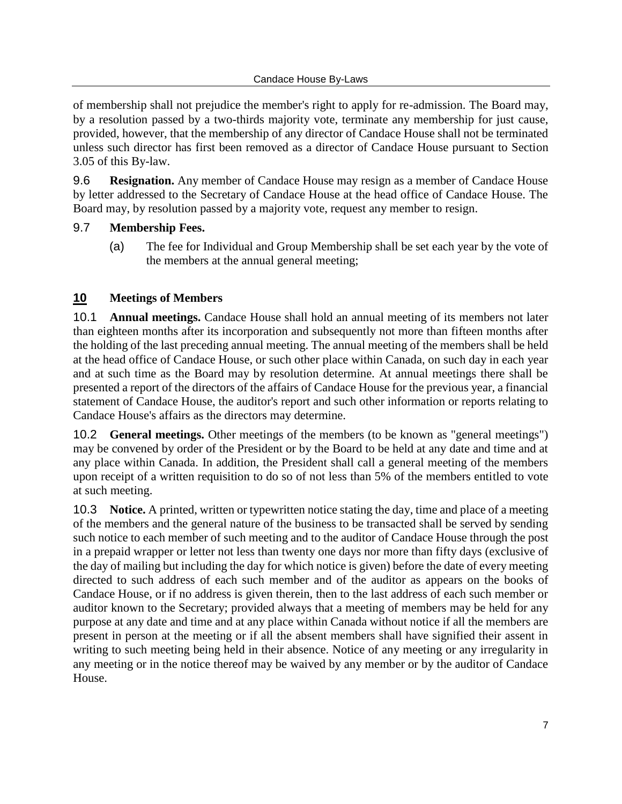of membership shall not prejudice the member's right to apply for re-admission. The Board may, by a resolution passed by a two-thirds majority vote, terminate any membership for just cause, provided, however, that the membership of any director of Candace House shall not be terminated unless such director has first been removed as a director of Candace House pursuant to Section 3.05 of this By-law.

9.6 **Resignation.** Any member of Candace House may resign as a member of Candace House by letter addressed to the Secretary of Candace House at the head office of Candace House. The Board may, by resolution passed by a majority vote, request any member to resign.

#### 9.7 **Membership Fees.**

(a) The fee for Individual and Group Membership shall be set each year by the vote of the members at the annual general meeting;

#### **10 Meetings of Members**

10.1 **Annual meetings.** Candace House shall hold an annual meeting of its members not later than eighteen months after its incorporation and subsequently not more than fifteen months after the holding of the last preceding annual meeting. The annual meeting of the members shall be held at the head office of Candace House, or such other place within Canada, on such day in each year and at such time as the Board may by resolution determine. At annual meetings there shall be presented a report of the directors of the affairs of Candace House for the previous year, a financial statement of Candace House, the auditor's report and such other information or reports relating to Candace House's affairs as the directors may determine.

10.2 **General meetings.** Other meetings of the members (to be known as "general meetings") may be convened by order of the President or by the Board to be held at any date and time and at any place within Canada. In addition, the President shall call a general meeting of the members upon receipt of a written requisition to do so of not less than 5% of the members entitled to vote at such meeting.

10.3 **Notice.** A printed, written or typewritten notice stating the day, time and place of a meeting of the members and the general nature of the business to be transacted shall be served by sending such notice to each member of such meeting and to the auditor of Candace House through the post in a prepaid wrapper or letter not less than twenty one days nor more than fifty days (exclusive of the day of mailing but including the day for which notice is given) before the date of every meeting directed to such address of each such member and of the auditor as appears on the books of Candace House, or if no address is given therein, then to the last address of each such member or auditor known to the Secretary; provided always that a meeting of members may be held for any purpose at any date and time and at any place within Canada without notice if all the members are present in person at the meeting or if all the absent members shall have signified their assent in writing to such meeting being held in their absence. Notice of any meeting or any irregularity in any meeting or in the notice thereof may be waived by any member or by the auditor of Candace House.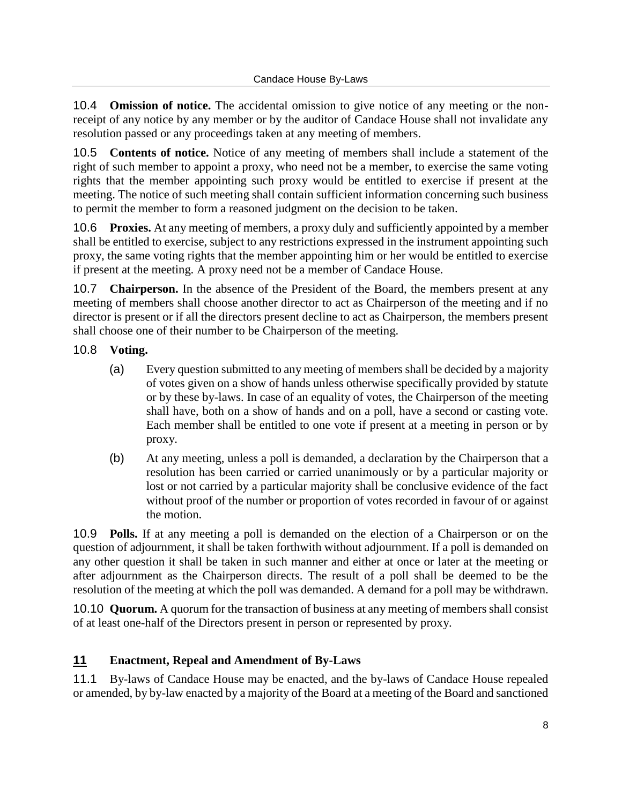10.4 **Omission of notice.** The accidental omission to give notice of any meeting or the nonreceipt of any notice by any member or by the auditor of Candace House shall not invalidate any resolution passed or any proceedings taken at any meeting of members.

10.5 **Contents of notice.** Notice of any meeting of members shall include a statement of the right of such member to appoint a proxy, who need not be a member, to exercise the same voting rights that the member appointing such proxy would be entitled to exercise if present at the meeting. The notice of such meeting shall contain sufficient information concerning such business to permit the member to form a reasoned judgment on the decision to be taken.

10.6 **Proxies.** At any meeting of members, a proxy duly and sufficiently appointed by a member shall be entitled to exercise, subject to any restrictions expressed in the instrument appointing such proxy, the same voting rights that the member appointing him or her would be entitled to exercise if present at the meeting. A proxy need not be a member of Candace House.

10.7 **Chairperson.** In the absence of the President of the Board, the members present at any meeting of members shall choose another director to act as Chairperson of the meeting and if no director is present or if all the directors present decline to act as Chairperson, the members present shall choose one of their number to be Chairperson of the meeting.

## 10.8 **Voting.**

- (a) Every question submitted to any meeting of members shall be decided by a majority of votes given on a show of hands unless otherwise specifically provided by statute or by these by-laws. In case of an equality of votes, the Chairperson of the meeting shall have, both on a show of hands and on a poll, have a second or casting vote. Each member shall be entitled to one vote if present at a meeting in person or by proxy.
- (b) At any meeting, unless a poll is demanded, a declaration by the Chairperson that a resolution has been carried or carried unanimously or by a particular majority or lost or not carried by a particular majority shall be conclusive evidence of the fact without proof of the number or proportion of votes recorded in favour of or against the motion.

10.9 **Polls.** If at any meeting a poll is demanded on the election of a Chairperson or on the question of adjournment, it shall be taken forthwith without adjournment. If a poll is demanded on any other question it shall be taken in such manner and either at once or later at the meeting or after adjournment as the Chairperson directs. The result of a poll shall be deemed to be the resolution of the meeting at which the poll was demanded. A demand for a poll may be withdrawn.

10.10 **Quorum.** A quorum for the transaction of business at any meeting of members shall consist of at least one-half of the Directors present in person or represented by proxy.

# **11 Enactment, Repeal and Amendment of By-Laws**

11.1 By-laws of Candace House may be enacted, and the by-laws of Candace House repealed or amended, by by-law enacted by a majority of the Board at a meeting of the Board and sanctioned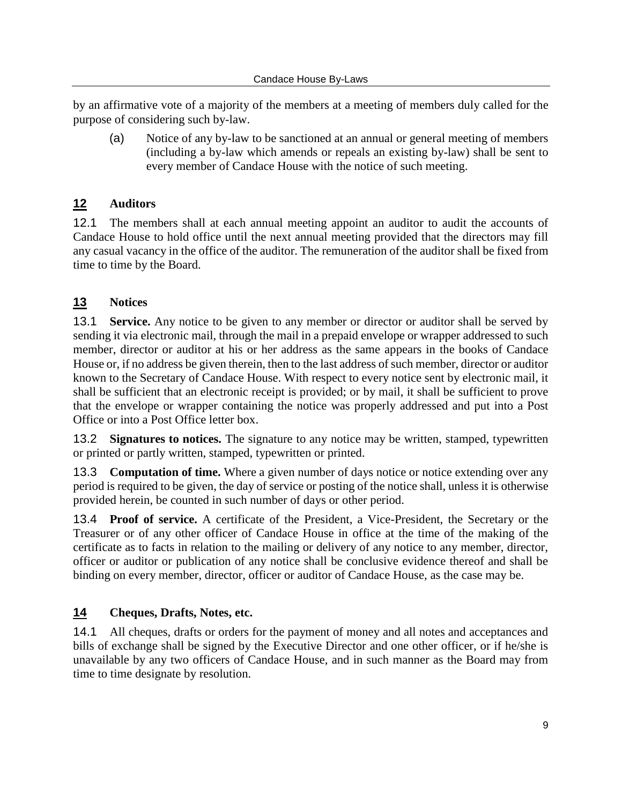by an affirmative vote of a majority of the members at a meeting of members duly called for the purpose of considering such by-law.

(a) Notice of any by-law to be sanctioned at an annual or general meeting of members (including a by-law which amends or repeals an existing by-law) shall be sent to every member of Candace House with the notice of such meeting.

# **12 Auditors**

12.1 The members shall at each annual meeting appoint an auditor to audit the accounts of Candace House to hold office until the next annual meeting provided that the directors may fill any casual vacancy in the office of the auditor. The remuneration of the auditor shall be fixed from time to time by the Board.

# **13 Notices**

13.1 **Service.** Any notice to be given to any member or director or auditor shall be served by sending it via electronic mail, through the mail in a prepaid envelope or wrapper addressed to such member, director or auditor at his or her address as the same appears in the books of Candace House or, if no address be given therein, then to the last address of such member, director or auditor known to the Secretary of Candace House. With respect to every notice sent by electronic mail, it shall be sufficient that an electronic receipt is provided; or by mail, it shall be sufficient to prove that the envelope or wrapper containing the notice was properly addressed and put into a Post Office or into a Post Office letter box.

13.2 **Signatures to notices.** The signature to any notice may be written, stamped, typewritten or printed or partly written, stamped, typewritten or printed.

13.3 **Computation of time.** Where a given number of days notice or notice extending over any period is required to be given, the day of service or posting of the notice shall, unless it is otherwise provided herein, be counted in such number of days or other period.

13.4 **Proof of service.** A certificate of the President, a Vice-President, the Secretary or the Treasurer or of any other officer of Candace House in office at the time of the making of the certificate as to facts in relation to the mailing or delivery of any notice to any member, director, officer or auditor or publication of any notice shall be conclusive evidence thereof and shall be binding on every member, director, officer or auditor of Candace House, as the case may be.

# **14 Cheques, Drafts, Notes, etc.**

14.1 All cheques, drafts or orders for the payment of money and all notes and acceptances and bills of exchange shall be signed by the Executive Director and one other officer, or if he/she is unavailable by any two officers of Candace House, and in such manner as the Board may from time to time designate by resolution.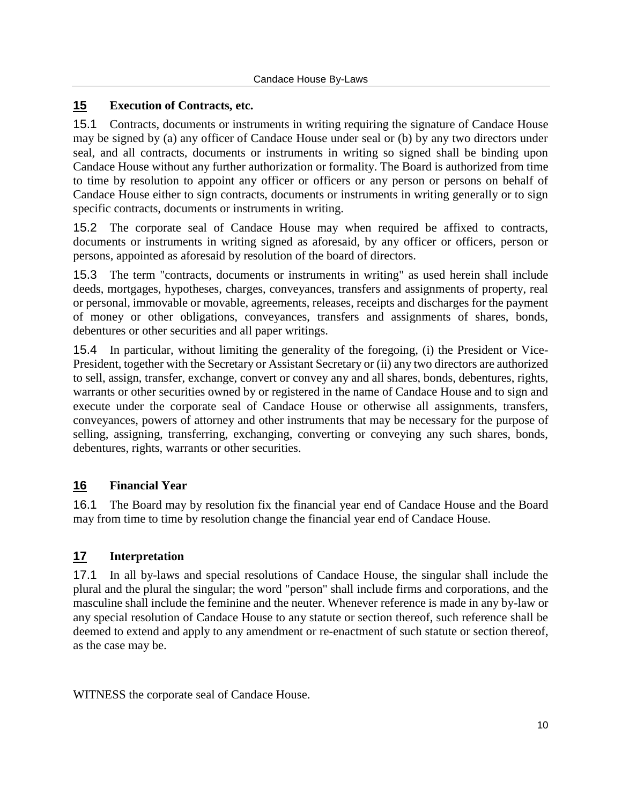## **15 Execution of Contracts, etc.**

15.1 Contracts, documents or instruments in writing requiring the signature of Candace House may be signed by (a) any officer of Candace House under seal or (b) by any two directors under seal, and all contracts, documents or instruments in writing so signed shall be binding upon Candace House without any further authorization or formality. The Board is authorized from time to time by resolution to appoint any officer or officers or any person or persons on behalf of Candace House either to sign contracts, documents or instruments in writing generally or to sign specific contracts, documents or instruments in writing.

15.2 The corporate seal of Candace House may when required be affixed to contracts, documents or instruments in writing signed as aforesaid, by any officer or officers, person or persons, appointed as aforesaid by resolution of the board of directors.

15.3 The term "contracts, documents or instruments in writing" as used herein shall include deeds, mortgages, hypotheses, charges, conveyances, transfers and assignments of property, real or personal, immovable or movable, agreements, releases, receipts and discharges for the payment of money or other obligations, conveyances, transfers and assignments of shares, bonds, debentures or other securities and all paper writings.

15.4 In particular, without limiting the generality of the foregoing, (i) the President or Vice-President, together with the Secretary or Assistant Secretary or (ii) any two directors are authorized to sell, assign, transfer, exchange, convert or convey any and all shares, bonds, debentures, rights, warrants or other securities owned by or registered in the name of Candace House and to sign and execute under the corporate seal of Candace House or otherwise all assignments, transfers, conveyances, powers of attorney and other instruments that may be necessary for the purpose of selling, assigning, transferring, exchanging, converting or conveying any such shares, bonds, debentures, rights, warrants or other securities.

# **16 Financial Year**

16.1 The Board may by resolution fix the financial year end of Candace House and the Board may from time to time by resolution change the financial year end of Candace House.

#### **17 Interpretation**

17.1 In all by-laws and special resolutions of Candace House, the singular shall include the plural and the plural the singular; the word "person" shall include firms and corporations, and the masculine shall include the feminine and the neuter. Whenever reference is made in any by-law or any special resolution of Candace House to any statute or section thereof, such reference shall be deemed to extend and apply to any amendment or re-enactment of such statute or section thereof, as the case may be.

WITNESS the corporate seal of Candace House.